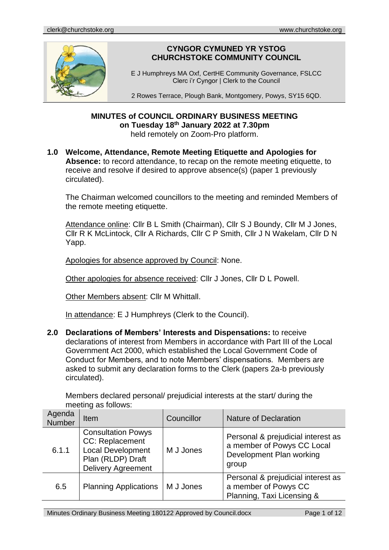

# **CYNGOR CYMUNED YR YSTOG CHURCHSTOKE COMMUNITY COUNCIL**

E J Humphreys MA Oxf, CertHE Community Governance, FSLCC Clerc i'r Cyngor | Clerk to the Council

2 Rowes Terrace, Plough Bank, Montgomery, Powys, SY15 6QD.

#### **MINUTES of COUNCIL ORDINARY BUSINESS MEETING on Tuesday 18th January 2022 at 7.30pm** held remotely on Zoom-Pro platform.

#### **1.0 Welcome, Attendance, Remote Meeting Etiquette and Apologies for Absence:** to record attendance, to recap on the remote meeting etiquette, to receive and resolve if desired to approve absence(s) (paper 1 previously circulated).

The Chairman welcomed councillors to the meeting and reminded Members of the remote meeting etiquette.

Attendance online: Cllr B L Smith (Chairman), Cllr S J Boundy, Cllr M J Jones, Cllr R K McLintock, Cllr A Richards, Cllr C P Smith, Cllr J N Wakelam, Cllr D N Yapp.

Apologies for absence approved by Council: None.

Other apologies for absence received: Cllr J Jones, Cllr D L Powell.

Other Members absent: Cllr M Whittall.

In attendance: E J Humphreys (Clerk to the Council).

**2.0 Declarations of Members' Interests and Dispensations:** to receive declarations of interest from Members in accordance with Part III of the Local Government Act 2000, which established the Local Government Code of Conduct for Members, and to note Members' dispensations. Members are asked to submit any declaration forms to the Clerk (papers 2a-b previously circulated).

| <b>INCOUNTY AS IVIIUWS.</b> |                                                                                                                            |            |                                                                                                       |  |
|-----------------------------|----------------------------------------------------------------------------------------------------------------------------|------------|-------------------------------------------------------------------------------------------------------|--|
| Agenda<br>Number            | Item                                                                                                                       | Councillor | <b>Nature of Declaration</b>                                                                          |  |
| 6.1.1                       | <b>Consultation Powys</b><br>CC: Replacement<br><b>Local Development</b><br>Plan (RLDP) Draft<br><b>Delivery Agreement</b> | M J Jones  | Personal & prejudicial interest as<br>a member of Powys CC Local<br>Development Plan working<br>group |  |
| 6.5                         | <b>Planning Applications</b>                                                                                               | M J Jones  | Personal & prejudicial interest as<br>a member of Powys CC<br>Planning, Taxi Licensing &              |  |

Members declared personal/ prejudicial interests at the start/ during the meeting as follows: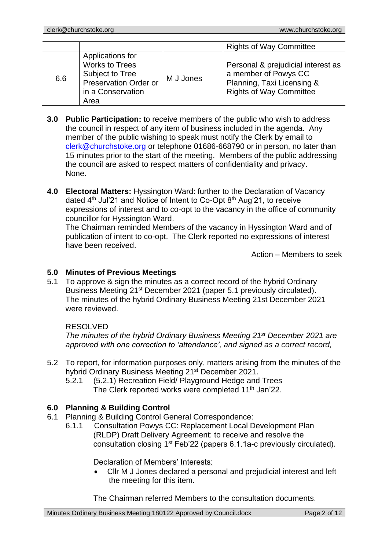|     |                                                                                                                           |           | <b>Rights of Way Committee</b>                                                                                             |
|-----|---------------------------------------------------------------------------------------------------------------------------|-----------|----------------------------------------------------------------------------------------------------------------------------|
| 6.6 | Applications for<br><b>Works to Trees</b><br>Subject to Tree<br><b>Preservation Order or</b><br>in a Conservation<br>Area | M J Jones | Personal & prejudicial interest as<br>a member of Powys CC<br>Planning, Taxi Licensing &<br><b>Rights of Way Committee</b> |

- **3.0 Public Participation:** to receive members of the public who wish to address the council in respect of any item of business included in the agenda. Any member of the public wishing to speak must notify the Clerk by email to [clerk@churchstoke.org](mailto:clerk@churchstoke.org) or telephone 01686-668790 or in person, no later than 15 minutes prior to the start of the meeting. Members of the public addressing the council are asked to respect matters of confidentiality and privacy. None.
- **4.0 Electoral Matters:** Hyssington Ward: further to the Declaration of Vacancy dated 4<sup>th</sup> Jul'21 and Notice of Intent to Co-Opt 8<sup>th</sup> Aug'21, to receive expressions of interest and to co-opt to the vacancy in the office of community councillor for Hyssington Ward.

The Chairman reminded Members of the vacancy in Hyssington Ward and of publication of intent to co-opt. The Clerk reported no expressions of interest have been received.

Action – Members to seek

# **5.0 Minutes of Previous Meetings**

5.1 To approve & sign the minutes as a correct record of the hybrid Ordinary Business Meeting 21st December 2021 (paper 5.1 previously circulated). The minutes of the hybrid Ordinary Business Meeting 21st December 2021 were reviewed.

# RESOLVED

*The minutes of the hybrid Ordinary Business Meeting 21st December 2021 are approved with one correction to 'attendance', and signed as a correct record,*

- 5.2 To report, for information purposes only, matters arising from the minutes of the hybrid Ordinary Business Meeting 21<sup>st</sup> December 2021.
	- 5.2.1 (5.2.1) Recreation Field/ Playground Hedge and Trees The Clerk reported works were completed 11<sup>th</sup> Jan'22.

# **6.0 Planning & Building Control**

- 6.1 Planning & Building Control General Correspondence:
	- 6.1.1 Consultation Powys CC: Replacement Local Development Plan (RLDP) Draft Delivery Agreement: to receive and resolve the consultation closing 1<sup>st</sup> Feb'22 (papers 6.1.1a-c previously circulated).

Declaration of Members' Interests:

• Cllr M J Jones declared a personal and prejudicial interest and left the meeting for this item.

The Chairman referred Members to the consultation documents.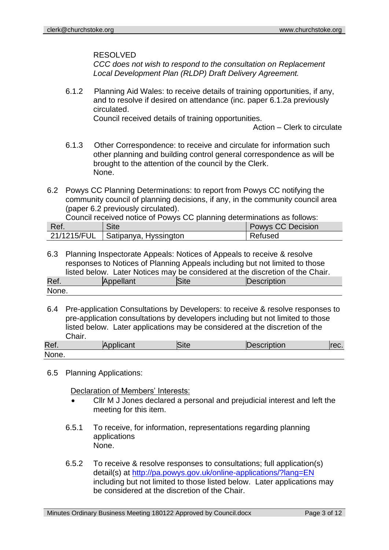#### RESOLVED

*CCC does not wish to respond to the consultation on Replacement Local Development Plan (RLDP) Draft Delivery Agreement.*

6.1.2 Planning Aid Wales: to receive details of training opportunities, if any, and to resolve if desired on attendance (inc. paper 6.1.2a previously circulated.

Council received details of training opportunities.

Action – Clerk to circulate

- 6.1.3 Other Correspondence: to receive and circulate for information such other planning and building control general correspondence as will be brought to the attention of the council by the Clerk. None.
- 6.2 Powys CC Planning Determinations: to report from Powys CC notifying the community council of planning decisions, if any, in the community council area (paper 6.2 previously circulated).

Council received notice of Powys CC planning determinations as follows:

| Ref. | Site                                | <b>Powys CC Decision</b> |
|------|-------------------------------------|--------------------------|
|      | 21/1215/FUL   Satipanya, Hyssington | Refused                  |

- 6.3 Planning Inspectorate Appeals: Notices of Appeals to receive & resolve responses to Notices of Planning Appeals including but not limited to those listed below. Later Notices may be considered at the discretion of the Chair. Ref. Appellant Site Description None.
- 6.4 Pre-application Consultations by Developers: to receive & resolve responses to pre-application consultations by developers including but not limited to those listed below. Later applications may be considered at the discretion of the Chair.

| Ref.  | Applicant | Site | Description | TUG. |
|-------|-----------|------|-------------|------|
| None. |           |      |             |      |

6.5 Planning Applications:

Declaration of Members' Interests:

- Cllr M J Jones declared a personal and prejudicial interest and left the meeting for this item.
- 6.5.1 To receive, for information, representations regarding planning applications None.
- 6.5.2 To receive & resolve responses to consultations; full application(s) detail(s) at http://pa.powys.gov.uk/online-applications/?lang=EN including but not limited to those listed below. Later applications may be considered at the discretion of the Chair.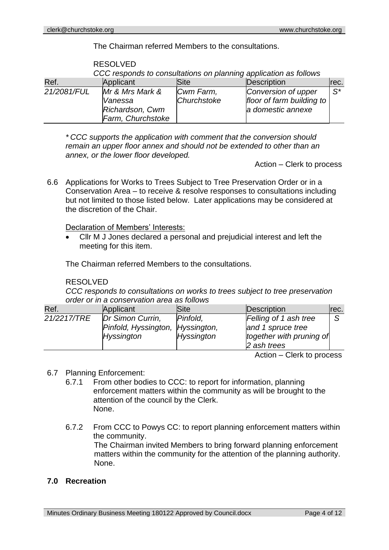RESOLVED

The Chairman referred Members to the consultations.

|                                                 | CCC responds to consultations on planning application as follows   |                          |                                                                       |                |  |
|-------------------------------------------------|--------------------------------------------------------------------|--------------------------|-----------------------------------------------------------------------|----------------|--|
| Description<br>Ref.<br>Applicant<br><b>Site</b> |                                                                    |                          |                                                                       |                |  |
| 21/2081/FUL                                     | Mr & Mrs Mark &<br>Vanessa<br>Richardson, Cwm<br>Farm, Churchstoke | Cwm Farm,<br>Churchstoke | Conversion of upper<br>floor of farm building to<br>a domestic annexe | $\mathsf{S}^*$ |  |

*\* CCC supports the application with comment that the conversion should remain an upper floor annex and should not be extended to other than an annex, or the lower floor developed.*

Action – Clerk to process

6.6 Applications for Works to Trees Subject to Tree Preservation Order or in a Conservation Area – to receive & resolve responses to consultations including but not limited to those listed below. Later applications may be considered at the discretion of the Chair.

#### Declaration of Members' Interests:

• Cllr M J Jones declared a personal and prejudicial interest and left the meeting for this item.

The Chairman referred Members to the consultations.

#### RESOLVED

*CCC responds to consultations on works to trees subject to tree preservation order or in a conservation area as follows*

| Ref.        | Applicant                                            | Site              | Description                                                                                                                                                                                                                                                                                        | Irec. |
|-------------|------------------------------------------------------|-------------------|----------------------------------------------------------------------------------------------------------------------------------------------------------------------------------------------------------------------------------------------------------------------------------------------------|-------|
| 21/2217/TRE | Dr Simon Currin,<br>Pinfold, Hyssington, Hyssington, | Pinfold.          | Felling of 1 ash tree<br>and 1 spruce tree                                                                                                                                                                                                                                                         |       |
|             | <b>Hyssington</b>                                    | <b>Hyssington</b> | together with pruning of<br>2 ash trees                                                                                                                                                                                                                                                            |       |
|             |                                                      |                   | $\mathbf{A}$ . $\mathbf{A}$ and $\mathbf{A}$ and $\mathbf{A}$ and $\mathbf{A}$ and $\mathbf{A}$ and $\mathbf{A}$ and $\mathbf{A}$ and $\mathbf{A}$ and $\mathbf{A}$ and $\mathbf{A}$ and $\mathbf{A}$ and $\mathbf{A}$ and $\mathbf{A}$ and $\mathbf{A}$ and $\mathbf{A}$ and $\mathbf{A}$ and $\$ |       |

Action – Clerk to process

# 6.7 Planning Enforcement:

- 6.7.1 From other bodies to CCC: to report for information, planning enforcement matters within the community as will be brought to the attention of the council by the Clerk. None.
- 6.7.2 From CCC to Powys CC: to report planning enforcement matters within the community.

The Chairman invited Members to bring forward planning enforcement matters within the community for the attention of the planning authority. None.

# **7.0 Recreation**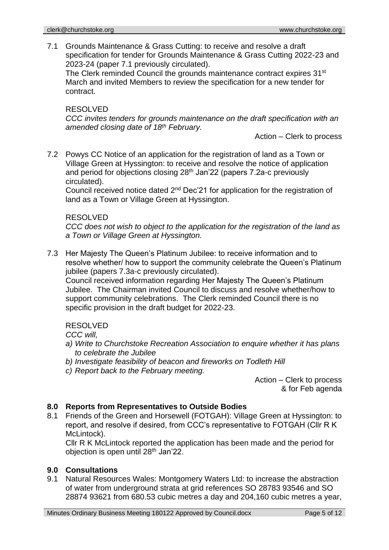7.1 Grounds Maintenance & Grass Cutting: to receive and resolve a draft specification for tender for Grounds Maintenance & Grass Cutting 2022-23 and 2023-24 (paper 7.1 previously circulated).

The Clerk reminded Council the grounds maintenance contract expires 31<sup>st</sup> March and invited Members to review the specification for a new tender for contract.

#### RESOLVED

*CCC invites tenders for grounds maintenance on the draft specification with an amended closing date of 18th February.*

Action – Clerk to process

7.2 Powys CC Notice of an application for the registration of land as a Town or Village Green at Hyssington: to receive and resolve the notice of application and period for objections closing 28th Jan'22 (papers 7.2a-c previously circulated).

Council received notice dated 2nd Dec'21 for application for the registration of land as a Town or Village Green at Hyssington.

#### RESOLVED

*CCC does not wish to object to the application for the registration of the land as a Town or Village Green at Hyssington.*

7.3 Her Majesty The Queen's Platinum Jubilee: to receive information and to resolve whether/ how to support the community celebrate the Queen's Platinum jubilee (papers 7.3a-c previously circulated).

Council received information regarding Her Majesty The Queen's Platinum Jubilee. The Chairman invited Council to discuss and resolve whether/how to support community celebrations. The Clerk reminded Council there is no specific provision in the draft budget for 2022-23.

# RESOLVED

*CCC will,*

- *a) Write to Churchstoke Recreation Association to enquire whether it has plans to celebrate the Jubilee*
- *b) Investigate feasibility of beacon and fireworks on Todleth Hill*
- *c) Report back to the February meeting.*

Action – Clerk to process & for Feb agenda

# **8.0 Reports from Representatives to Outside Bodies**

8.1 Friends of the Green and Horsewell (FOTGAH): Village Green at Hyssington: to report, and resolve if desired, from CCC's representative to FOTGAH (Cllr R K McLintock).

Cllr R K McLintock reported the application has been made and the period for objection is open until 28<sup>th</sup> Jan'22.

# **9.0 Consultations**

9.1 Natural Resources Wales: Montgomery Waters Ltd: to increase the abstraction of water from underground strata at grid references SO 28783 93546 and SO 28874 93621 from 680.53 cubic metres a day and 204,160 cubic metres a year,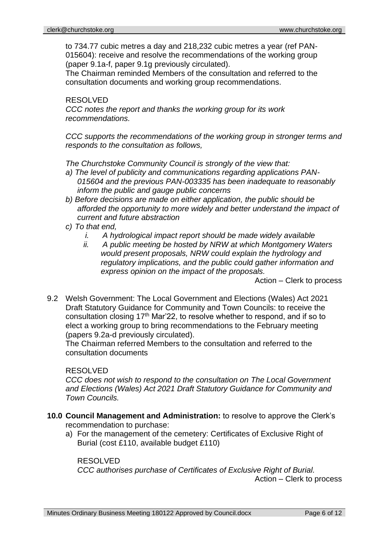to 734.77 cubic metres a day and 218,232 cubic metres a year (ref PAN-015604): receive and resolve the recommendations of the working group (paper 9.1a-f, paper 9.1g previously circulated).

The Chairman reminded Members of the consultation and referred to the consultation documents and working group recommendations.

#### RESOLVED *CCC notes the report and thanks the working group for its work recommendations.*

*CCC supports the recommendations of the working group in stronger terms and responds to the consultation as follows,*

*The Churchstoke Community Council is strongly of the view that:*

- *a) The level of publicity and communications regarding applications PAN-015604 and the previous PAN-003335 has been inadequate to reasonably inform the public and gauge public concerns*
- *b) Before decisions are made on either application, the public should be afforded the opportunity to more widely and better understand the impact of current and future abstraction*
- *c) To that end,*
	- *i. A hydrological impact report should be made widely available*
	- *ii. A public meeting be hosted by NRW at which Montgomery Waters would present proposals, NRW could explain the hydrology and regulatory implications, and the public could gather information and express opinion on the impact of the proposals.*

Action – Clerk to process

9.2 Welsh Government: The Local Government and Elections (Wales) Act 2021 Draft Statutory Guidance for Community and Town Councils: to receive the consultation closing 17<sup>th</sup> Mar'22, to resolve whether to respond, and if so to elect a working group to bring recommendations to the February meeting (papers 9.2a-d previously circulated).

The Chairman referred Members to the consultation and referred to the consultation documents

# RESOLVED

*CCC does not wish to respond to the consultation on The Local Government and Elections (Wales) Act 2021 Draft Statutory Guidance for Community and Town Councils.*

- **10.0 Council Management and Administration:** to resolve to approve the Clerk's recommendation to purchase:
	- a) For the management of the cemetery: Certificates of Exclusive Right of Burial (cost £110, available budget £110)

RESOLVED

*CCC authorises purchase of Certificates of Exclusive Right of Burial.* Action – Clerk to process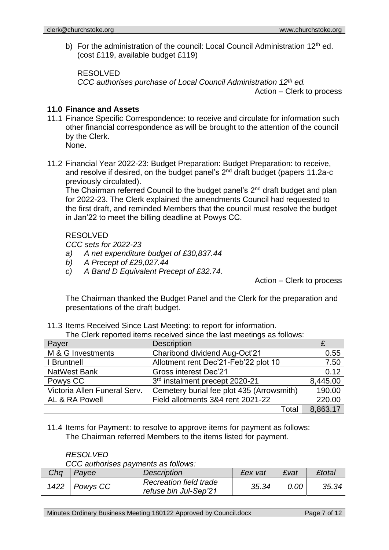b) For the administration of the council: Local Council Administration 12<sup>th</sup> ed. (cost £119, available budget £119)

RESOLVED *CCC authorises purchase of Local Council Administration 12th ed.*

Action – Clerk to process

# **11.0 Finance and Assets**

11.1 Finance Specific Correspondence: to receive and circulate for information such other financial correspondence as will be brought to the attention of the council by the Clerk.

None.

11.2 Financial Year 2022-23: Budget Preparation: Budget Preparation: to receive, and resolve if desired, on the budget panel's 2<sup>nd</sup> draft budget (papers 11.2a-c previously circulated).

The Chairman referred Council to the budget panel's 2<sup>nd</sup> draft budget and plan for 2022-23. The Clerk explained the amendments Council had requested to the first draft, and reminded Members that the council must resolve the budget in Jan'22 to meet the billing deadline at Powys CC.

# RESOLVED

*CCC sets for 2022-23*

- *a) A net expenditure budget of £30,837.44*
- *b) A Precept of £29,027.44*
- *c) A Band D Equivalent Precept of £32.74.*

Action – Clerk to process

The Chairman thanked the Budget Panel and the Clerk for the preparation and presentations of the draft budget.

11.3 Items Received Since Last Meeting: to report for information.

The Clerk reported items received since the last meetings as follows:

| Payer                        | <b>Description</b>                        |          |
|------------------------------|-------------------------------------------|----------|
| M & G Investments            | Charibond dividend Aug-Oct'21             | 0.55     |
| I Bruntnell                  | Allotment rent Dec'21-Feb'22 plot 10      | 7.50     |
| <b>NatWest Bank</b>          | <b>Gross interest Dec'21</b>              | 0.12     |
| Powys CC                     | 3rd instalment precept 2020-21            | 8,445.00 |
| Victoria Allen Funeral Serv. | Cemetery burial fee plot 435 (Arrowsmith) | 190.00   |
| AL & RA Powell               | Field allotments 3&4 rent 2021-22         | 220.00   |
|                              | Total                                     | 8,863.17 |

11.4 Items for Payment: to resolve to approve items for payment as follows: The Chairman referred Members to the items listed for payment.

# *RESOLVED*

*CCC authorises payments as follows:*

| Cha | Payee           | <b>Description</b>                                     | £ex vat | £vat | <b>£total</b> |
|-----|-----------------|--------------------------------------------------------|---------|------|---------------|
|     | 1422   Powys CC | <b>Recreation field trade</b><br>refuse bin Jul-Sep'21 | 35.34   | 0.00 | 35.34         |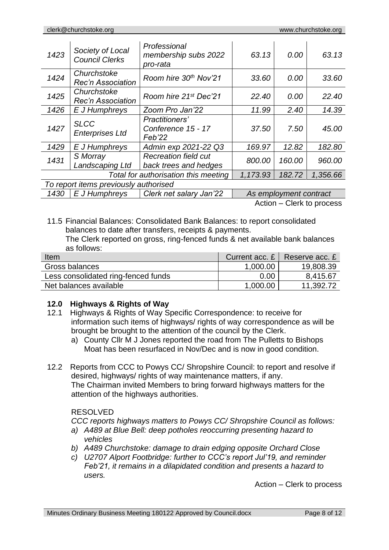| 1423                                                       | Society of Local<br><b>Council Clerks</b> | Professional<br>membership subs 2022<br>pro-rata     | 63.13  | 0.00                   | 63.13  |
|------------------------------------------------------------|-------------------------------------------|------------------------------------------------------|--------|------------------------|--------|
| 1424                                                       | Churchstoke<br><b>Rec'n Association</b>   | Room hire 30th Nov'21                                | 33.60  | 0.00                   | 33.60  |
| 1425                                                       | Churchstoke<br><b>Rec'n Association</b>   | Room hire 21 <sup>st</sup> Dec'21                    | 22.40  | 0.00                   | 22.40  |
| 1426                                                       | E J Humphreys                             | Zoom Pro Jan'22                                      | 11.99  | 2.40                   | 14.39  |
| 1427                                                       | <b>SLCC</b><br><b>Enterprises Ltd</b>     | Practitioners'<br>Conference 15 - 17<br>Feb'22       | 37.50  | 7.50                   | 45.00  |
| 1429                                                       | E J Humphreys                             | Admin exp 2021-22 Q3                                 | 169.97 | 12.82                  | 182.80 |
| 1431                                                       | S Morray<br>Landscaping Ltd               | <b>Recreation field cut</b><br>back trees and hedges | 800.00 | 160.00                 | 960.00 |
| Total for authorisation this meeting<br>182.72<br>1,173.93 |                                           |                                                      |        | 1,356.66               |        |
|                                                            | To report items previously authorised     |                                                      |        |                        |        |
| 1430                                                       | E J Humphreys                             | Clerk net salary Jan'22                              |        | As employment contract |        |

Action – Clerk to process

11.5 Financial Balances: Consolidated Bank Balances: to report consolidated balances to date after transfers, receipts & payments.

The Clerk reported on gross, ring-fenced funds & net available bank balances as follows:

| Item                                |          | Current acc. $E \mid$ Reserve acc. $E$ |
|-------------------------------------|----------|----------------------------------------|
| Gross balances                      | 1,000.00 | 19,808.39                              |
| Less consolidated ring-fenced funds | 0.00     | 8,415.67                               |
| Net balances available              | 1,000.00 | 11,392.72                              |

# **12.0 Highways & Rights of Way**

- 12.1 Highways & Rights of Way Specific Correspondence: to receive for information such items of highways/ rights of way correspondence as will be brought be brought to the attention of the council by the Clerk.
	- a) County Cllr M J Jones reported the road from The Pulletts to Bishops Moat has been resurfaced in Nov/Dec and is now in good condition.
- 12.2 Reports from CCC to Powys CC/ Shropshire Council: to report and resolve if desired, highways/ rights of way maintenance matters, if any. The Chairman invited Members to bring forward highways matters for the attention of the highways authorities.

# RESOLVED

*CCC reports highways matters to Powys CC/ Shropshire Council as follows:*

- *a) A489 at Blue Bell: deep potholes reoccurring presenting hazard to vehicles*
- *b) A489 Churchstoke: damage to drain edging opposite Orchard Close*
- *c) U2707 Alport Footbridge: further to CCC's report Jul'19, and reminder Feb'21, it remains in a dilapidated condition and presents a hazard to users.*

Action – Clerk to process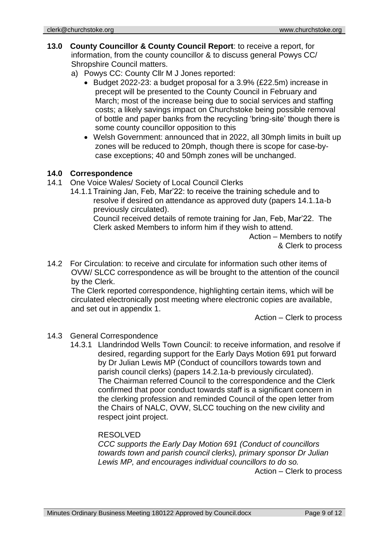- **13.0 County Councillor & County Council Report**: to receive a report, for information, from the county councillor & to discuss general Powys CC/ Shropshire Council matters.
	- a) Powys CC: County Cllr M J Jones reported:
		- Budget 2022-23: a budget proposal for a 3.9% (£22.5m) increase in precept will be presented to the County Council in February and March; most of the increase being due to social services and staffing costs; a likely savings impact on Churchstoke being possible removal of bottle and paper banks from the recycling 'bring-site' though there is some county councillor opposition to this
		- Welsh Government: announced that in 2022, all 30mph limits in built up zones will be reduced to 20mph, though there is scope for case-bycase exceptions; 40 and 50mph zones will be unchanged.

#### **14.0 Correspondence**

- 14.1 One Voice Wales/ Society of Local Council Clerks
	- 14.1.1 Training Jan, Feb, Mar'22: to receive the training schedule and to resolve if desired on attendance as approved duty (papers 14.1.1a-b previously circulated).

Council received details of remote training for Jan, Feb, Mar'22. The Clerk asked Members to inform him if they wish to attend.

> Action – Members to notify & Clerk to process

14.2 For Circulation: to receive and circulate for information such other items of OVW/ SLCC correspondence as will be brought to the attention of the council by the Clerk.

The Clerk reported correspondence, highlighting certain items, which will be circulated electronically post meeting where electronic copies are available, and set out in appendix 1.

Action – Clerk to process

# 14.3 General Correspondence

14.3.1 Llandrindod Wells Town Council: to receive information, and resolve if desired, regarding support for the Early Days Motion 691 put forward by Dr Julian Lewis MP (Conduct of councillors towards town and parish council clerks) (papers 14.2.1a-b previously circulated). The Chairman referred Council to the correspondence and the Clerk confirmed that poor conduct towards staff is a significant concern in the clerking profession and reminded Council of the open letter from the Chairs of NALC, OVW, SLCC touching on the new civility and respect joint project.

#### RESOLVED

*CCC supports the Early Day Motion 691 (Conduct of councillors towards town and parish council clerks), primary sponsor Dr Julian Lewis MP, and encourages individual councillors to do so.*

Action – Clerk to process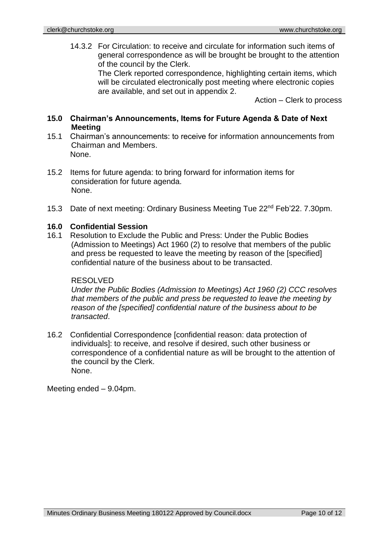14.3.2 For Circulation: to receive and circulate for information such items of general correspondence as will be brought be brought to the attention of the council by the Clerk.

> The Clerk reported correspondence, highlighting certain items, which will be circulated electronically post meeting where electronic copies are available, and set out in appendix 2.

> > Action – Clerk to process

# **15.0 Chairman's Announcements, Items for Future Agenda & Date of Next Meeting**

- 15.1 Chairman's announcements: to receive for information announcements from Chairman and Members. None.
- 15.2 Items for future agenda: to bring forward for information items for consideration for future agenda. None.
- 15.3 Date of next meeting: Ordinary Business Meeting Tue 22nd Feb'22. 7.30pm.

# **16.0 Confidential Session**

16.1 Resolution to Exclude the Public and Press: Under the Public Bodies (Admission to Meetings) Act 1960 (2) to resolve that members of the public and press be requested to leave the meeting by reason of the [specified] confidential nature of the business about to be transacted.

#### RESOLVED

*Under the Public Bodies (Admission to Meetings) Act 1960 (2) CCC resolves that members of the public and press be requested to leave the meeting by reason of the [specified] confidential nature of the business about to be transacted*.

16.2 Confidential Correspondence [confidential reason: data protection of individuals]: to receive, and resolve if desired, such other business or correspondence of a confidential nature as will be brought to the attention of the council by the Clerk. None.

Meeting ended – 9.04pm.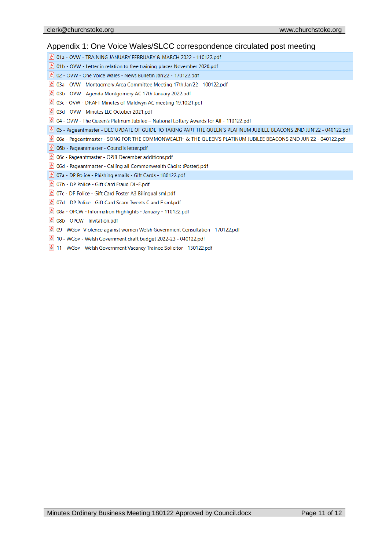#### Appendix 1: One Voice Wales/SLCC correspondence circulated post meeting

(☆ 01a - OVW - TRAINING JANUARY FEBRUARY & MARCH 2022 - 110122.pdf

- 01b OVW Letter in relation to free training places November 2020.pdf
- (☆ 02 OVW One Voice Wales News Bulletin Jan'22 170122.pdf
- $\bigoplus$  03a OVW Montgomery Area Committee Meeting 17th Jan'22 100122.pdf
- ☆ 03b OVW Agenda Montgomery AC 17th January 2022.pdf
- © 03c OVW DRAFT Minutes of Maldwyn AC meeting 19.10.21.pdf
- ☆ 03d OVW Minutes LLC October 2021.pdf

 $\binom{1}{k}$  04 - OVW - The Queen's Platinum Jubilee – National Lottery Awards for All - 110122.pdf

- 2 of Pageantmaster DEC UPDATE OF GUIDE TO TAKING PART THE QUEEN'S PLATINUM JUBILEE BEACONS 2ND JUN'22 040122.pdf
- o6a Pageantmaster SONG FOR THE COMMONWEALTH & THE QUEEN'S PLATINUM JUBILEE BEACONS 2ND JUN'22 040122.pdf
- $\frac{1}{2}$  06b Pageantmaster Councils letter.pdf
- $\left(\frac{1}{2}\right)$  06c Pageantmaster QPJB December additions.pdf
- o6d Pageantmaster Calling all Commonwealth Choirs (Poster).pdf
- 80122.pdf 307a DP Police Phishing emails Gift Cards 180122.pdf
- ☆ 07b DP Police Gift Card Fraud DL-E.pdf
- 8 07c DP Police Gift Card Poster A3 Bilingual sml.pdf
- ☆ 07d DP Police Gift Card Scam Tweets C and E sml.pdf
- ☆ 08a OPCW Information Highlights January 110122.pdf
- 08b OPCW Invitation.pdf
- & 09 WGov Violence against women Welsh Government Consultation 170122.pdf
- 10 WGov Welsh Government draft budget 2022-23 040122.pdf
- 11 WGov Welsh Government Vacancy Trainee Solicitor 130122.pdf